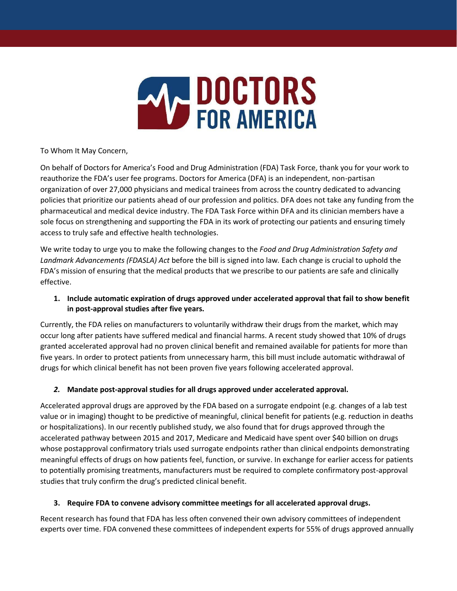

To Whom It May Concern,

On behalf of Doctors for America's Food and Drug Administration (FDA) Task Force, thank you for your work to reauthorize the FDA's user fee programs. Doctors for America (DFA) is an independent, non-partisan organization of over 27,000 physicians and medical trainees from across the country dedicated to advancing policies that prioritize our patients ahead of our profession and politics. DFA does not take any funding from the pharmaceutical and medical device industry. The FDA Task Force within DFA and its clinician members have a sole focus on strengthening and supporting the FDA in its work of protecting our patients and ensuring timely access to truly safe and effective health technologies.

We write today to urge you to make the following changes to the *Food and Drug Administration Safety and Landmark Advancements (FDASLA) Act* before the bill is signed into law*.* Each change is crucial to uphold the FDA's mission of ensuring that the medical products that we prescribe to our patients are safe and clinically effective.

**1. Include automatic expiration of drugs approved under accelerated approval that fail to show benefit in post-approval studies after five years.** 

Currently, the FDA relies on manufacturers to voluntarily withdraw their drugs from the market, which may occur long after patients have suffered medical and financial harms. A recent study showed that 10% of drugs granted accelerated approval had no proven clinical benefit and remained available for patients for more than five years. In order to protect patients from unnecessary harm, this bill must include automatic withdrawal of drugs for which clinical benefit has not been proven five years following accelerated approval.

# *2.* **Mandate post-approval studies for all drugs approved under accelerated approval.**

Accelerated approval drugs are approved by the FDA based on a surrogate endpoint (e.g. changes of a lab test value or in imaging) thought to be predictive of meaningful, clinical benefit for patients (e.g. reduction in deaths or hospitalizations). In our recently published study, we also found that for drugs approved through the accelerated pathway between 2015 and 2017, Medicare and Medicaid have spent over \$40 billion on drugs whose postapproval confirmatory trials used surrogate endpoints rather than clinical endpoints demonstrating meaningful effects of drugs on how patients feel, function, or survive. In exchange for earlier access for patients to potentially promising treatments, manufacturers must be required to complete confirmatory post-approval studies that truly confirm the drug's predicted clinical benefit.

### **3. Require FDA to convene advisory committee meetings for all accelerated approval drugs.**

Recent research has found that FDA has less often convened their own advisory committees of independent experts over time. FDA convened these committees of independent experts for 55% of drugs approved annually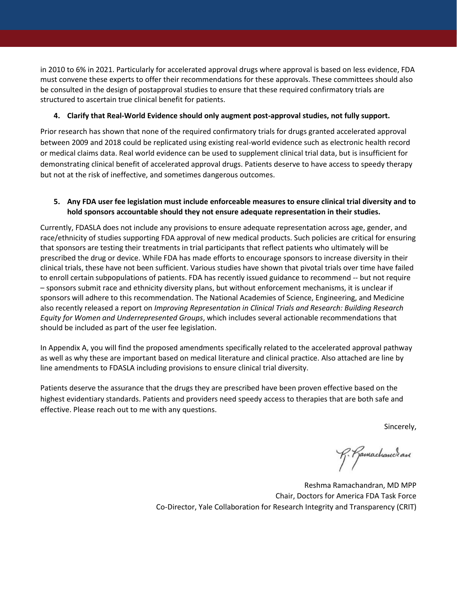in 2010 to 6% in 2021. Particularly for accelerated approval drugs where approval is based on less evidence, FDA must convene these experts to offer their recommendations for these approvals. These committees should also be consulted in the design of postapproval studies to ensure that these required confirmatory trials are structured to ascertain true clinical benefit for patients.

### **4. Clarify that Real-World Evidence should only augment post-approval studies, not fully support.**

Prior research has shown that none of the required confirmatory trials for drugs granted accelerated approval between 2009 and 2018 could be replicated using existing real-world evidence such as electronic health record or medical claims data. Real world evidence can be used to supplement clinical trial data, but is insufficient for demonstrating clinical benefit of accelerated approval drugs. Patients deserve to have access to speedy therapy but not at the risk of ineffective, and sometimes dangerous outcomes.

## **5. Any FDA user fee legislation must include enforceable measures to ensure clinical trial diversity and to hold sponsors accountable should they not ensure adequate representation in their studies.**

Currently, FDASLA does not include any provisions to ensure adequate representation across age, gender, and race/ethnicity of studies supporting FDA approval of new medical products. Such policies are critical for ensuring that sponsors are testing their treatments in trial participants that reflect patients who ultimately will be prescribed the drug or device. While FDA has made efforts to encourage sponsors to increase diversity in their clinical trials, these have not been sufficient. Various studies have shown that pivotal trials over time have failed to enroll certain subpopulations of patients. FDA has recently issued guidance to recommend -- but not require – sponsors submit race and ethnicity diversity plans, but without enforcement mechanisms, it is unclear if sponsors will adhere to this recommendation. The National Academies of Science, Engineering, and Medicine also recently released a report on *Improving Representation in Clinical Trials and Research: Building Research Equity for Women and Underrepresented Groups*, which includes several actionable recommendations that should be included as part of the user fee legislation.

In Appendix A, you will find the proposed amendments specifically related to the accelerated approval pathway as well as why these are important based on medical literature and clinical practice. Also attached are line by line amendments to FDASLA including provisions to ensure clinical trial diversity.

Patients deserve the assurance that the drugs they are prescribed have been proven effective based on the highest evidentiary standards. Patients and providers need speedy access to therapies that are both safe and effective. Please reach out to me with any questions.

Sincerely,

R. Ramachancran

Reshma Ramachandran, MD MPP Chair, Doctors for America FDA Task Force Co-Director, Yale Collaboration for Research Integrity and Transparency (CRIT)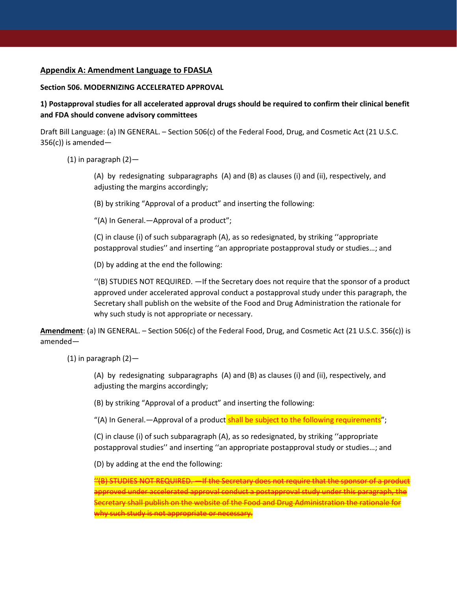#### **Appendix A: Amendment Language to FDASLA**

#### **Section 506. MODERNIZING ACCELERATED APPROVAL**

**1) Postapproval studies for all accelerated approval drugs should be required to confirm their clinical benefit and FDA should convene advisory committees** 

Draft Bill Language: (a) IN GENERAL. – Section 506(c) of the Federal Food, Drug, and Cosmetic Act (21 U.S.C.  $356(c)$ ) is amended-

(1) in paragraph  $(2)$ —

(A) by redesignating subparagraphs (A) and (B) as clauses (i) and (ii), respectively, and adjusting the margins accordingly;

(B) by striking "Approval of a product" and inserting the following:

"(A) In General.—Approval of a product";

(C) in clause (i) of such subparagraph (A), as so redesignated, by striking ''appropriate postapproval studies'' and inserting ''an appropriate postapproval study or studies…; and

(D) by adding at the end the following:

''(B) STUDIES NOT REQUIRED. —If the Secretary does not require that the sponsor of a product approved under accelerated approval conduct a postapproval study under this paragraph, the Secretary shall publish on the website of the Food and Drug Administration the rationale for why such study is not appropriate or necessary.

**Amendment**: (a) IN GENERAL. – Section 506(c) of the Federal Food, Drug, and Cosmetic Act (21 U.S.C. 356(c)) is amended—

 $(1)$  in paragraph  $(2)$ —

(A) by redesignating subparagraphs (A) and (B) as clauses (i) and (ii), respectively, and adjusting the margins accordingly;

(B) by striking "Approval of a product" and inserting the following:

"(A) In General.—Approval of a product shall be subject to the following requirements";

(C) in clause (i) of such subparagraph (A), as so redesignated, by striking ''appropriate postapproval studies'' and inserting ''an appropriate postapproval study or studies…; and

(D) by adding at the end the following:

''(B) STUDIES NOT REQUIRED. —If the Secretary does not require that the sponsor of a product approved under accelerated approval conduct a postapproval study under this paragraph, the Secretary shall publish on the website of the Food and Drug Administration the rationale for why such study is not appropriate or necessary.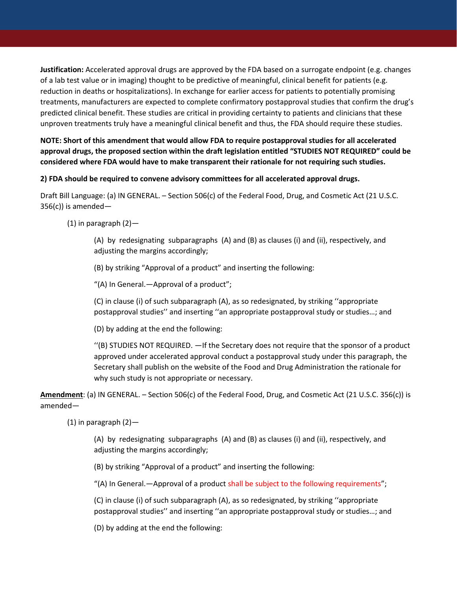**Justification:** Accelerated approval drugs are approved by the FDA based on a surrogate endpoint (e.g. changes of a lab test value or in imaging) thought to be predictive of meaningful, clinical benefit for patients (e.g. reduction in deaths or hospitalizations). In exchange for earlier access for patients to potentially promising treatments, manufacturers are expected to complete confirmatory postapproval studies that confirm the drug's predicted clinical benefit. These studies are critical in providing certainty to patients and clinicians that these unproven treatments truly have a meaningful clinical benefit and thus, the FDA should require these studies.

**NOTE: Short of this amendment that would allow FDA to require postapproval studies for all accelerated approval drugs, the proposed section within the draft legislation entitled "STUDIES NOT REQUIRED" could be considered where FDA would have to make transparent their rationale for not requiring such studies.**

#### **2) FDA should be required to convene advisory committees for all accelerated approval drugs.**

Draft Bill Language: (a) IN GENERAL. – Section 506(c) of the Federal Food, Drug, and Cosmetic Act (21 U.S.C.  $356(c)$ ) is amended—

(1) in paragraph (2)—

(A) by redesignating subparagraphs (A) and (B) as clauses (i) and (ii), respectively, and adjusting the margins accordingly;

(B) by striking "Approval of a product" and inserting the following:

"(A) In General.—Approval of a product";

(C) in clause (i) of such subparagraph (A), as so redesignated, by striking ''appropriate postapproval studies'' and inserting ''an appropriate postapproval study or studies…; and

(D) by adding at the end the following:

''(B) STUDIES NOT REQUIRED. —If the Secretary does not require that the sponsor of a product approved under accelerated approval conduct a postapproval study under this paragraph, the Secretary shall publish on the website of the Food and Drug Administration the rationale for why such study is not appropriate or necessary.

**Amendment**: (a) IN GENERAL. – Section 506(c) of the Federal Food, Drug, and Cosmetic Act (21 U.S.C. 356(c)) is amended—

(1) in paragraph  $(2)$ —

(A) by redesignating subparagraphs (A) and (B) as clauses (i) and (ii), respectively, and adjusting the margins accordingly;

(B) by striking "Approval of a product" and inserting the following:

"(A) In General.—Approval of a product shall be subject to the following requirements";

(C) in clause (i) of such subparagraph (A), as so redesignated, by striking ''appropriate postapproval studies'' and inserting ''an appropriate postapproval study or studies…; and

(D) by adding at the end the following: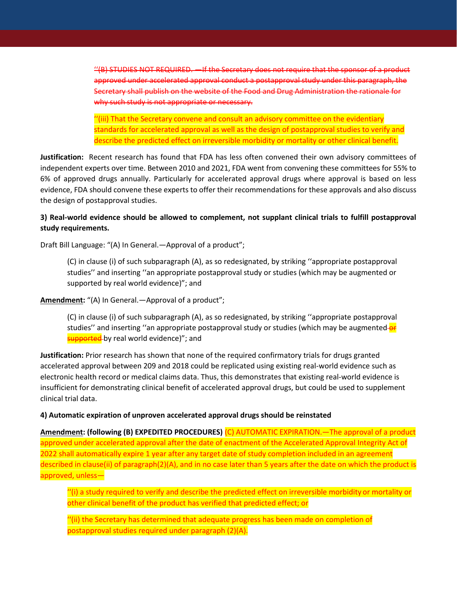''(B) STUDIES NOT REQUIRED. —If the Secretary does not require that the sponsor of a product approved under accelerated approval conduct a postapproval study under this paragraph, the Secretary shall publish on the website of the Food and Drug Administration the rationale for why such study is not appropriate or necessary.

''(iii) That the Secretary convene and consult an advisory committee on the evidentiary standards for accelerated approval as well as the design of postapproval studies to verify and describe the predicted effect on irreversible morbidity or mortality or other clinical benefit.

**Justification:** Recent research has found that FDA has less often convened their own advisory committees of independent experts over time. Between 2010 and 2021, FDA went from convening these committees for 55% to 6% of approved drugs annually. Particularly for accelerated approval drugs where approval is based on less evidence, FDA should convene these experts to offer their recommendations for these approvals and also discuss the design of postapproval studies.

### **3) Real-world evidence should be allowed to complement, not supplant clinical trials to fulfill postapproval study requirements.**

Draft Bill Language: "(A) In General.—Approval of a product";

(C) in clause (i) of such subparagraph (A), as so redesignated, by striking ''appropriate postapproval studies'' and inserting ''an appropriate postapproval study or studies (which may be augmented or supported by real world evidence)"; and

**Amendment:** "(A) In General.—Approval of a product";

(C) in clause (i) of such subparagraph (A), as so redesignated, by striking ''appropriate postapproval studies" and inserting "an appropriate postapproval study or studies (which may be augmented-or supported by real world evidence)"; and

**Justification:** Prior research has shown that none of the required confirmatory trials for drugs granted accelerated approval between 209 and 2018 could be replicated using existing real-world evidence such as electronic health record or medical claims data. Thus, this demonstrates that existing real-world evidence is insufficient for demonstrating clinical benefit of accelerated approval drugs, but could be used to supplement clinical trial data.

**4) Automatic expiration of unproven accelerated approval drugs should be reinstated** 

**Amendment: (following (B) EXPEDITED PROCEDURES)** (C) AUTOMATIC EXPIRATION.—The approval of a product approved under accelerated approval after the date of enactment of the Accelerated Approval Integrity Act of 2022 shall automatically expire 1 year after any target date of study completion included in an agreement described in clause(ii) of paragraph(2)(A), and in no case later than 5 years after the date on which the product is approved, unless—

''(i) a study required to verify and describe the predicted effect on irreversible morbidity or mortality or other clinical benefit of the product has verified that predicted effect; or

''(ii) the Secretary has determined that adequate progress has been made on completion of postapproval studies required under paragraph (2)(A).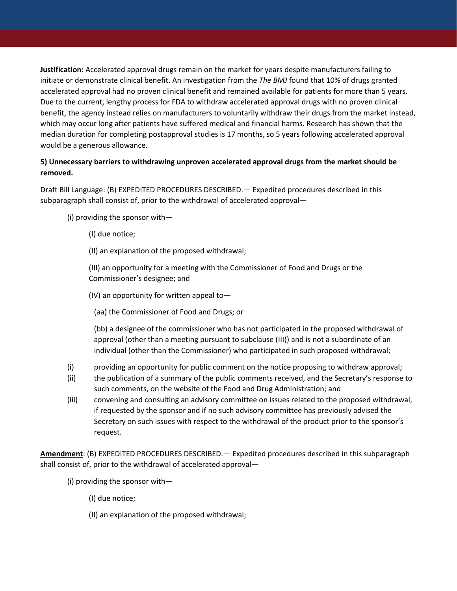**Justification:** Accelerated approval drugs remain on the market for years despite manufacturers failing to initiate or demonstrate clinical benefit. An investigation from the *The BMJ* found that 10% of drugs granted accelerated approval had no proven clinical benefit and remained available for patients for more than 5 years. Due to the current, lengthy process for FDA to withdraw accelerated approval drugs with no proven clinical benefit, the agency instead relies on manufacturers to voluntarily withdraw their drugs from the market instead, which may occur long after patients have suffered medical and financial harms. Research has shown that the median duration for completing postapproval studies is 17 months, so 5 years following accelerated approval would be a generous allowance.

## **5) Unnecessary barriers to withdrawing unproven accelerated approval drugs from the market should be removed.**

Draft Bill Language: (B) EXPEDITED PROCEDURES DESCRIBED.— Expedited procedures described in this subparagraph shall consist of, prior to the withdrawal of accelerated approval—

- (i) providing the sponsor with—
	- (I) due notice;
	- (II) an explanation of the proposed withdrawal;

(III) an opportunity for a meeting with the Commissioner of Food and Drugs or the Commissioner's designee; and

- (IV) an opportunity for written appeal to—
	- (aa) the Commissioner of Food and Drugs; or

(bb) a designee of the commissioner who has not participated in the proposed withdrawal of approval (other than a meeting pursuant to subclause (III)) and is not a subordinate of an individual (other than the Commissioner) who participated in such proposed withdrawal;

- (i) providing an opportunity for public comment on the notice proposing to withdraw approval;
- (ii) the publication of a summary of the public comments received, and the Secretary's response to such comments, on the website of the Food and Drug Administration; and
- (iii) convening and consulting an advisory committee on issues related to the proposed withdrawal, if requested by the sponsor and if no such advisory committee has previously advised the Secretary on such issues with respect to the withdrawal of the product prior to the sponsor's request.

**Amendment**: (B) EXPEDITED PROCEDURES DESCRIBED.— Expedited procedures described in this subparagraph shall consist of, prior to the withdrawal of accelerated approval—

- (i) providing the sponsor with—
	- (I) due notice;
	- (II) an explanation of the proposed withdrawal;